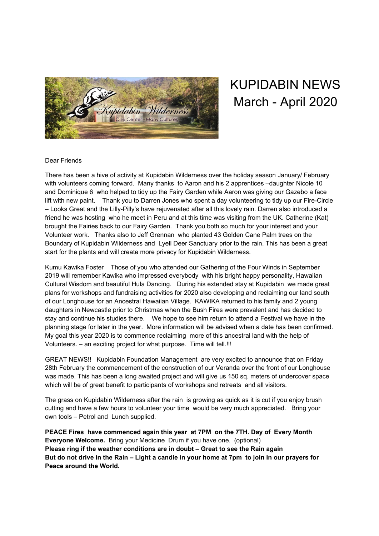

## KUPIDABIN NEWS March - April 2020

## Dear Friends

There has been a hive of activity at Kupidabin Wilderness over the holiday season January/ February with volunteers coming forward. Many thanks to Aaron and his 2 apprentices –daughter Nicole 10 and Dominique 6 who helped to tidy up the Fairy Garden while Aaron was giving our Gazebo a face lift with new paint. Thank you to Darren Jones who spent a day volunteering to tidy up our Fire-Circle – Looks Great and the Lilly-Pilly's have rejuvenated after all this lovely rain. Darren also introduced a friend he was hosting who he meet in Peru and at this time was visiting from the UK. Catherine (Kat) brought the Fairies back to our Fairy Garden. Thank you both so much for your interest and your Volunteer work. Thanks also to Jeff Grennan who planted 43 Golden Cane Palm trees on the Boundary of Kupidabin Wilderness and Lyell Deer Sanctuary prior to the rain. This has been a great start for the plants and will create more privacy for Kupidabin Wilderness.

Kumu Kawika Foster Those of you who attended our Gathering of the Four Winds in September 2019 will remember Kawika who impressed everybody with his bright happy personality, Hawaiian Cultural Wisdom and beautiful Hula Dancing. During his extended stay at Kupidabin we made great plans for workshops and fundraising activities for 2020 also developing and reclaiming our land south of our Longhouse for an Ancestral Hawaiian Village. KAWIKA returned to his family and 2 young daughters in Newcastle prior to Christmas when the Bush Fires were prevalent and has decided to stay and continue his studies there. We hope to see him return to attend a Festival we have in the planning stage for later in the year. More information will be advised when a date has been confirmed. My goal this year 2020 is to commence reclaiming more of this ancestral land with the help of Volunteers. – an exciting project for what purpose. Time will tell.!!!

GREAT NEWS!! Kupidabin Foundation Management are very excited to announce that on Friday 28th February the commencement of the construction of our Veranda over the front of our Longhouse was made. This has been a long awaited project and will give us 150 sq. meters of undercover space which will be of great benefit to participants of workshops and retreats and all visitors.

The grass on Kupidabin Wilderness after the rain is growing as quick as it is cut if you enjoy brush cutting and have a few hours to volunteer your time would be very much appreciated. Bring your own tools – Petrol and Lunch supplied.

**PEACE Fires have commenced again this year at 7PM on the 7TH. Day of Every Month Everyone Welcome.** Bring your Medicine Drum if you have one. (optional) **Please ring if the weather conditions are in doubt – Great to see the Rain again** But do not drive in the Rain – Light a candle in your home at 7pm to join in our prayers for **Peace around the World.**